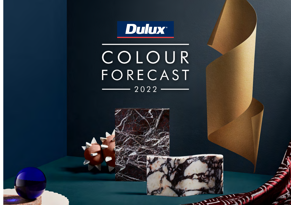

COLOUR **FORECAST**  $-2022-$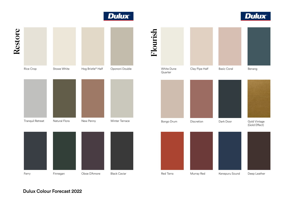

Ferry Finnegan Oboe D'Amore Black Caviar

## Flourish White Dune Quarter

Tranquil Retreat Natural Flora New Penny Winter Terrace







Dulux Colour Forecast 2022



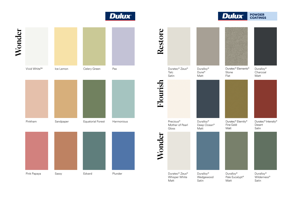